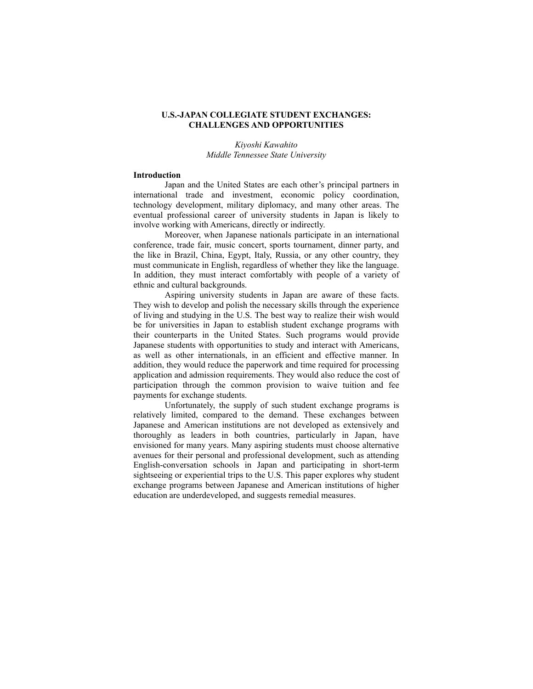# **U.S.-JAPAN COLLEGIATE STUDENT EXCHANGES: CHALLENGES AND OPPORTUNITIES**

*Kiyoshi Kawahito Middle Tennessee State University*

### **Introduction**

Japan and the United States are each other's principal partners in international trade and investment, economic policy coordination, technology development, military diplomacy, and many other areas. The eventual professional career of university students in Japan is likely to involve working with Americans, directly or indirectly.

Moreover, when Japanese nationals participate in an international conference, trade fair, music concert, sports tournament, dinner party, and the like in Brazil, China, Egypt, Italy, Russia, or any other country, they must communicate in English, regardless of whether they like the language. In addition, they must interact comfortably with people of a variety of ethnic and cultural backgrounds.

Aspiring university students in Japan are aware of these facts. They wish to develop and polish the necessary skills through the experience of living and studying in the U.S. The best way to realize their wish would be for universities in Japan to establish student exchange programs with their counterparts in the United States. Such programs would provide Japanese students with opportunities to study and interact with Americans, as well as other internationals, in an efficient and effective manner. In addition, they would reduce the paperwork and time required for processing application and admission requirements. They would also reduce the cost of participation through the common provision to waive tuition and fee payments for exchange students.

Unfortunately, the supply of such student exchange programs is relatively limited, compared to the demand. These exchanges between Japanese and American institutions are not developed as extensively and thoroughly as leaders in both countries, particularly in Japan, have envisioned for many years. Many aspiring students must choose alternative avenues for their personal and professional development, such as attending English-conversation schools in Japan and participating in short-term sightseeing or experiential trips to the U.S. This paper explores why student exchange programs between Japanese and American institutions of higher education are underdeveloped, and suggests remedial measures.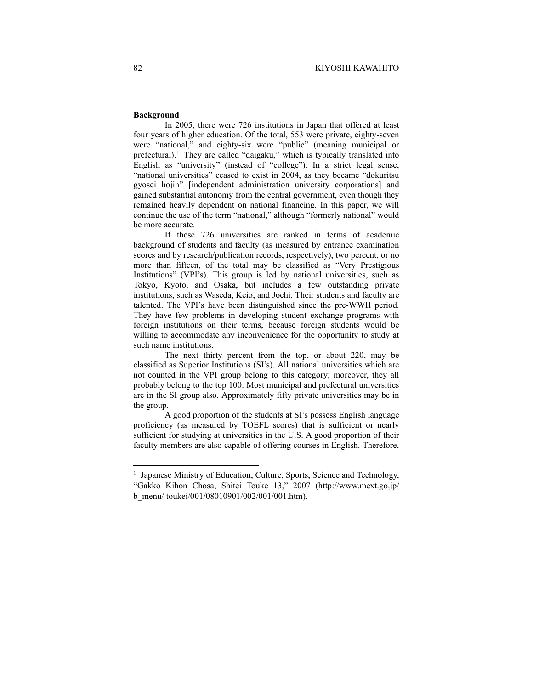### **Background**

In 2005, there were 726 institutions in Japan that offered at least four years of higher education. Of the total, 553 were private, eighty-seven were "national," and eighty-six were "public" (meaning municipal or prefectural).<sup>[1](#page-1-0)</sup> They are called "daigaku," which is typically translated into English as "university" (instead of "college"). In a strict legal sense, "national universities" ceased to exist in 2004, as they became "dokuritsu gyosei hojin" [independent administration university corporations] and gained substantial autonomy from the central government, even though they remained heavily dependent on national financing. In this paper, we will continue the use of the term "national," although "formerly national" would be more accurate.

If these 726 universities are ranked in terms of academic background of students and faculty (as measured by entrance examination scores and by research/publication records, respectively), two percent, or no more than fifteen, of the total may be classified as "Very Prestigious Institutions" (VPI's). This group is led by national universities, such as Tokyo, Kyoto, and Osaka, but includes a few outstanding private institutions, such as Waseda, Keio, and Jochi. Their students and faculty are talented. The VPI's have been distinguished since the pre-WWII period. They have few problems in developing student exchange programs with foreign institutions on their terms, because foreign students would be willing to accommodate any inconvenience for the opportunity to study at such name institutions.

The next thirty percent from the top, or about 220, may be classified as Superior Institutions (SI's). All national universities which are not counted in the VPI group belong to this category; moreover, they all probably belong to the top 100. Most municipal and prefectural universities are in the SI group also. Approximately fifty private universities may be in the group.

A good proportion of the students at SI's possess English language proficiency (as measured by TOEFL scores) that is sufficient or nearly sufficient for studying at universities in the U.S. A good proportion of their faculty members are also capable of offering courses in English. Therefore,

<span id="page-1-0"></span><sup>&</sup>lt;sup>1</sup> Japanese Ministry of Education, Culture, Sports, Science and Technology, "Gakko Kihon Chosa, Shitei Touke 13," 2007 (http://www.mext.go.jp/ b\_menu/ toukei/001/08010901/002/001/001.htm).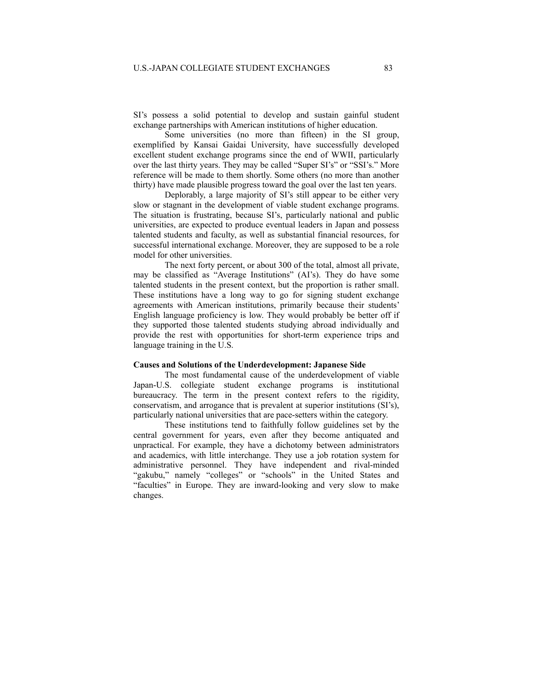SI's possess a solid potential to develop and sustain gainful student exchange partnerships with American institutions of higher education.

Some universities (no more than fifteen) in the SI group, exemplified by Kansai Gaidai University, have successfully developed excellent student exchange programs since the end of WWII, particularly over the last thirty years. They may be called "Super SI's" or "SSI's." More reference will be made to them shortly. Some others (no more than another thirty) have made plausible progress toward the goal over the last ten years.

Deplorably, a large majority of SI's still appear to be either very slow or stagnant in the development of viable student exchange programs. The situation is frustrating, because SI's, particularly national and public universities, are expected to produce eventual leaders in Japan and possess talented students and faculty, as well as substantial financial resources, for successful international exchange. Moreover, they are supposed to be a role model for other universities.

The next forty percent, or about 300 of the total, almost all private, may be classified as "Average Institutions" (AI's). They do have some talented students in the present context, but the proportion is rather small. These institutions have a long way to go for signing student exchange agreements with American institutions, primarily because their students' English language proficiency is low. They would probably be better off if they supported those talented students studying abroad individually and provide the rest with opportunities for short-term experience trips and language training in the U.S.

#### **Causes and Solutions of the Underdevelopment: Japanese Side**

The most fundamental cause of the underdevelopment of viable Japan-U.S. collegiate student exchange programs is institutional bureaucracy. The term in the present context refers to the rigidity, conservatism, and arrogance that is prevalent at superior institutions (SI's), particularly national universities that are pace-setters within the category.

These institutions tend to faithfully follow guidelines set by the central government for years, even after they become antiquated and unpractical. For example, they have a dichotomy between administrators and academics, with little interchange. They use a job rotation system for administrative personnel. They have independent and rival-minded "gakubu," namely "colleges" or "schools" in the United States and "faculties" in Europe. They are inward-looking and very slow to make changes.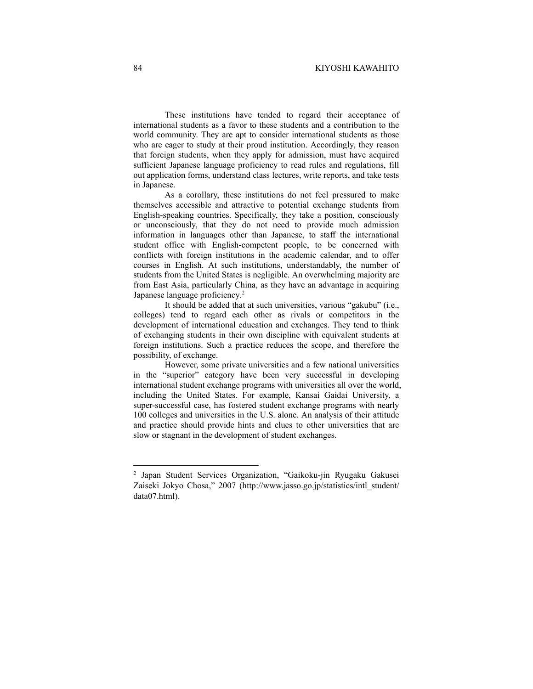These institutions have tended to regard their acceptance of international students as a favor to these students and a contribution to the world community. They are apt to consider international students as those who are eager to study at their proud institution. Accordingly, they reason that foreign students, when they apply for admission, must have acquired sufficient Japanese language proficiency to read rules and regulations, fill out application forms, understand class lectures, write reports, and take tests in Japanese.

As a corollary, these institutions do not feel pressured to make themselves accessible and attractive to potential exchange students from English-speaking countries. Specifically, they take a position, consciously or unconsciously, that they do not need to provide much admission information in languages other than Japanese, to staff the international student office with English-competent people, to be concerned with conflicts with foreign institutions in the academic calendar, and to offer courses in English. At such institutions, understandably, the number of students from the United States is negligible. An overwhelming majority are from East Asia, particularly China, as they have an advantage in acquiring Japanese language proficiency.<sup>[2](#page-3-0)</sup>

It should be added that at such universities, various "gakubu" (i.e., colleges) tend to regard each other as rivals or competitors in the development of international education and exchanges. They tend to think of exchanging students in their own discipline with equivalent students at foreign institutions. Such a practice reduces the scope, and therefore the possibility, of exchange.

However, some private universities and a few national universities in the "superior" category have been very successful in developing international student exchange programs with universities all over the world, including the United States. For example, Kansai Gaidai University, a super-successful case, has fostered student exchange programs with nearly 100 colleges and universities in the U.S. alone. An analysis of their attitude and practice should provide hints and clues to other universities that are slow or stagnant in the development of student exchanges.

<span id="page-3-0"></span><sup>2</sup> Japan Student Services Organization, "Gaikoku-jin Ryugaku Gakusei Zaiseki Jokyo Chosa," 2007 (http://www.jasso.go.jp/statistics/intl\_student/ data07.html).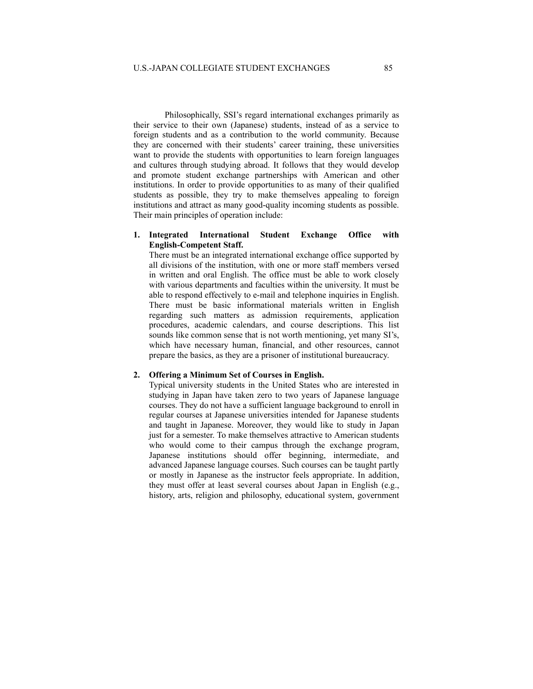Philosophically, SSI's regard international exchanges primarily as their service to their own (Japanese) students, instead of as a service to foreign students and as a contribution to the world community. Because they are concerned with their students' career training, these universities want to provide the students with opportunities to learn foreign languages and cultures through studying abroad. It follows that they would develop and promote student exchange partnerships with American and other institutions. In order to provide opportunities to as many of their qualified students as possible, they try to make themselves appealing to foreign institutions and attract as many good-quality incoming students as possible. Their main principles of operation include:

# **1. Integrated International Student Exchange Office with English-Competent Staff.**

There must be an integrated international exchange office supported by all divisions of the institution, with one or more staff members versed in written and oral English. The office must be able to work closely with various departments and faculties within the university. It must be able to respond effectively to e-mail and telephone inquiries in English. There must be basic informational materials written in English regarding such matters as admission requirements, application procedures, academic calendars, and course descriptions. This list sounds like common sense that is not worth mentioning, yet many SI's, which have necessary human, financial, and other resources, cannot prepare the basics, as they are a prisoner of institutional bureaucracy.

### **2. Offering a Minimum Set of Courses in English.**

Typical university students in the United States who are interested in studying in Japan have taken zero to two years of Japanese language courses. They do not have a sufficient language background to enroll in regular courses at Japanese universities intended for Japanese students and taught in Japanese. Moreover, they would like to study in Japan just for a semester. To make themselves attractive to American students who would come to their campus through the exchange program, Japanese institutions should offer beginning, intermediate, and advanced Japanese language courses. Such courses can be taught partly or mostly in Japanese as the instructor feels appropriate. In addition, they must offer at least several courses about Japan in English (e.g., history, arts, religion and philosophy, educational system, government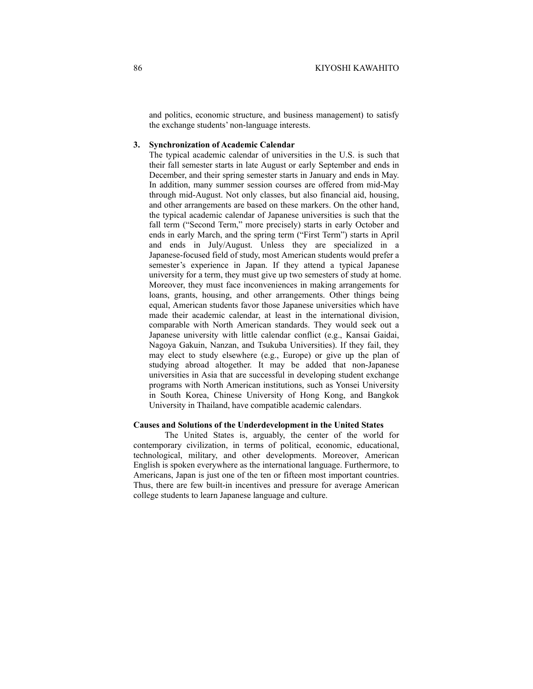and politics, economic structure, and business management) to satisfy the exchange students' non-language interests.

### **3. Synchronization of Academic Calendar**

The typical academic calendar of universities in the U.S. is such that their fall semester starts in late August or early September and ends in December, and their spring semester starts in January and ends in May. In addition, many summer session courses are offered from mid-May through mid-August. Not only classes, but also financial aid, housing, and other arrangements are based on these markers. On the other hand, the typical academic calendar of Japanese universities is such that the fall term ("Second Term," more precisely) starts in early October and ends in early March, and the spring term ("First Term") starts in April and ends in July/August. Unless they are specialized in a Japanese-focused field of study, most American students would prefer a semester's experience in Japan. If they attend a typical Japanese university for a term, they must give up two semesters of study at home. Moreover, they must face inconveniences in making arrangements for loans, grants, housing, and other arrangements. Other things being equal, American students favor those Japanese universities which have made their academic calendar, at least in the international division, comparable with North American standards. They would seek out a Japanese university with little calendar conflict (e.g., Kansai Gaidai, Nagoya Gakuin, Nanzan, and Tsukuba Universities). If they fail, they may elect to study elsewhere (e.g., Europe) or give up the plan of studying abroad altogether. It may be added that non-Japanese universities in Asia that are successful in developing student exchange programs with North American institutions, such as Yonsei University in South Korea, Chinese University of Hong Kong, and Bangkok University in Thailand, have compatible academic calendars.

# **Causes and Solutions of the Underdevelopment in the United States**

The United States is, arguably, the center of the world for contemporary civilization, in terms of political, economic, educational, technological, military, and other developments. Moreover, American English is spoken everywhere as the international language. Furthermore, to Americans, Japan is just one of the ten or fifteen most important countries. Thus, there are few built-in incentives and pressure for average American college students to learn Japanese language and culture.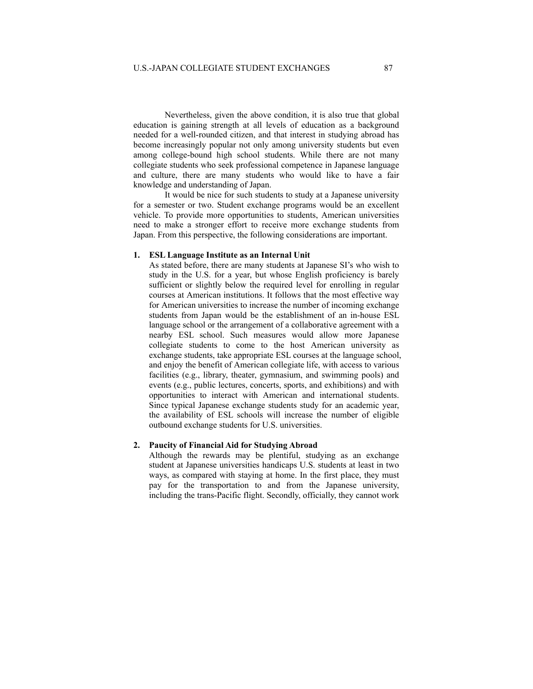Nevertheless, given the above condition, it is also true that global education is gaining strength at all levels of education as a background needed for a well-rounded citizen, and that interest in studying abroad has become increasingly popular not only among university students but even among college-bound high school students. While there are not many collegiate students who seek professional competence in Japanese language and culture, there are many students who would like to have a fair knowledge and understanding of Japan.

It would be nice for such students to study at a Japanese university for a semester or two. Student exchange programs would be an excellent vehicle. To provide more opportunities to students, American universities need to make a stronger effort to receive more exchange students from Japan. From this perspective, the following considerations are important.

#### **1. ESL Language Institute as an Internal Unit**

As stated before, there are many students at Japanese SI's who wish to study in the U.S. for a year, but whose English proficiency is barely sufficient or slightly below the required level for enrolling in regular courses at American institutions. It follows that the most effective way for American universities to increase the number of incoming exchange students from Japan would be the establishment of an in-house ESL language school or the arrangement of a collaborative agreement with a nearby ESL school. Such measures would allow more Japanese collegiate students to come to the host American university as exchange students, take appropriate ESL courses at the language school, and enjoy the benefit of American collegiate life, with access to various facilities (e.g., library, theater, gymnasium, and swimming pools) and events (e.g., public lectures, concerts, sports, and exhibitions) and with opportunities to interact with American and international students. Since typical Japanese exchange students study for an academic year, the availability of ESL schools will increase the number of eligible outbound exchange students for U.S. universities.

# **2. Paucity of Financial Aid for Studying Abroad**

Although the rewards may be plentiful, studying as an exchange student at Japanese universities handicaps U.S. students at least in two ways, as compared with staying at home. In the first place, they must pay for the transportation to and from the Japanese university, including the trans-Pacific flight. Secondly, officially, they cannot work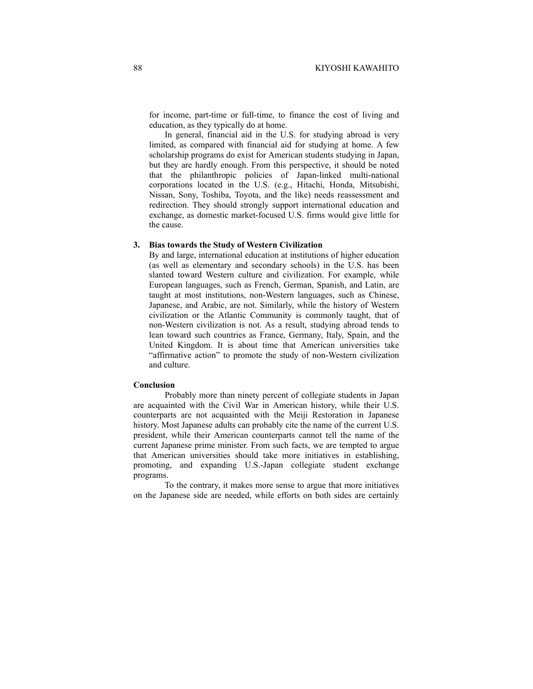for income, part-time or full-time, to finance the cost of living and education, as they typically do at home.

In general, financial aid in the U.S. for studying abroad is very limited, as compared with financial aid for studying at home. A few scholarship programs do exist for American students studying in Japan, but they are hardly enough. From this perspective, it should be noted that the philanthropic policies of Japan-linked multi-national corporations located in the U.S. (e.g., Hitachi, Honda, Mitsubishi, Nissan, Sony, Toshiba, Toyota, and the like) needs reassessment and redirection. They should strongly support international education and exchange, as domestic market-focused U.S. firms would give little for the cause.

# **3. Bias towards the Study of Western Civilization**

By and large, international education at institutions of higher education (as well as elementary and secondary schools) in the U.S. has been slanted toward Western culture and civilization. For example, while European languages, such as French, German, Spanish, and Latin, are taught at most institutions, non-Western languages, such as Chinese, Japanese, and Arabic, are not. Similarly, while the history of Western civilization or the Atlantic Community is commonly taught, that of non-Western civilization is not. As a result, studying abroad tends to lean toward such countries as France, Germany, Italy, Spain, and the United Kingdom. It is about time that American universities take "affirmative action" to promote the study of non-Western civilization and culture.

#### **Conclusion**

Probably more than ninety percent of collegiate students in Japan are acquainted with the Civil War in American history, while their U.S. counterparts are not acquainted with the Meiji Restoration in Japanese history. Most Japanese adults can probably cite the name of the current U.S. president, while their American counterparts cannot tell the name of the current Japanese prime minister. From such facts, we are tempted to argue that American universities should take more initiatives in establishing, promoting, and expanding U.S.-Japan collegiate student exchange programs.

To the contrary, it makes more sense to argue that more initiatives on the Japanese side are needed, while efforts on both sides are certainly